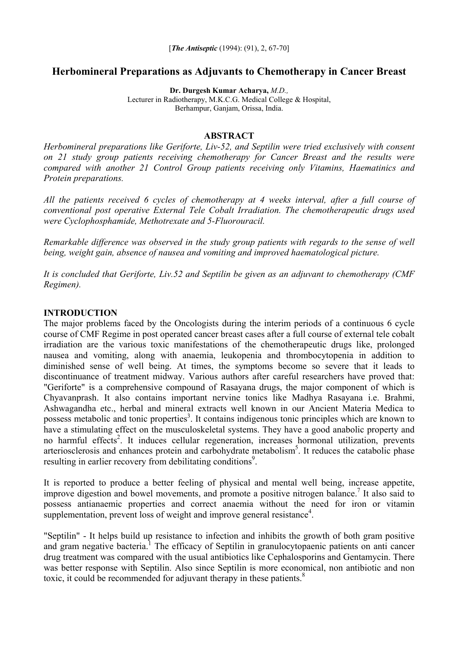# **Herbomineral Preparations as Adjuvants to Chemotherapy in Cancer Breast**

**Dr. Durgesh Kumar Acharya,** *M.D.,* 

Lecturer in Radiotherapy, M.K.C.G. Medical College & Hospital, Berhampur, Ganjam, Orissa, India.

#### **ABSTRACT**

*Herbomineral preparations like Geriforte, Liv-52, and Septilin were tried exclusively with consent on 21 study group patients receiving chemotherapy for Cancer Breast and the results were compared with another 21 Control Group patients receiving only Vitamins, Haematinics and Protein preparations.* 

*All the patients received 6 cycles of chemotherapy at 4 weeks interval, after a full course of conventional post operative External Tele Cobalt Irradiation. The chemotherapeutic drugs used were Cyclophosphamide, Methotrexate and 5-Fluorouracil.* 

*Remarkable difference was observed in the study group patients with regards to the sense of well being, weight gain, absence of nausea and vomiting and improved haematological picture.* 

*It is concluded that Geriforte, Liv.52 and Septilin be given as an adjuvant to chemotherapy (CMF Regimen).* 

#### **INTRODUCTION**

The major problems faced by the Oncologists during the interim periods of a continuous 6 cycle course of CMF Regime in post operated cancer breast cases after a full course of external tele cobalt irradiation are the various toxic manifestations of the chemotherapeutic drugs like, prolonged nausea and vomiting, along with anaemia, leukopenia and thrombocytopenia in addition to diminished sense of well being. At times, the symptoms become so severe that it leads to discontinuance of treatment midway. Various authors after careful researchers have proved that: "Geriforte" is a comprehensive compound of Rasayana drugs, the major component of which is Chyavanprash. It also contains important nervine tonics like Madhya Rasayana i.e. Brahmi, Ashwagandha etc., herbal and mineral extracts well known in our Ancient Materia Medica to possess metabolic and tonic properties<sup>3</sup>. It contains indigenous tonic principles which are known to have a stimulating effect on the musculoskeletal systems. They have a good anabolic property and no harmful effects<sup>2</sup>. It induces cellular regeneration, increases hormonal utilization, prevents arteriosclerosis and enhances protein and carbohydrate metabolism<sup>5</sup>. It reduces the catabolic phase resulting in earlier recovery from debilitating conditions<sup>9</sup>.

It is reported to produce a better feeling of physical and mental well being, increase appetite, improve digestion and bowel movements, and promote a positive nitrogen balance.<sup>7</sup> It also said to possess antianaemic properties and correct anaemia without the need for iron or vitamin supplementation, prevent loss of weight and improve general resistance $4$ .

"Septilin" - It helps build up resistance to infection and inhibits the growth of both gram positive and gram negative bacteria.<sup>1</sup> The efficacy of Septilin in granulocytopaenic patients on anti cancer drug treatment was compared with the usual antibiotics like Cephalosporins and Gentamycin. There was better response with Septilin. Also since Septilin is more economical, non antibiotic and non toxic, it could be recommended for adjuvant therapy in these patients.<sup>8</sup>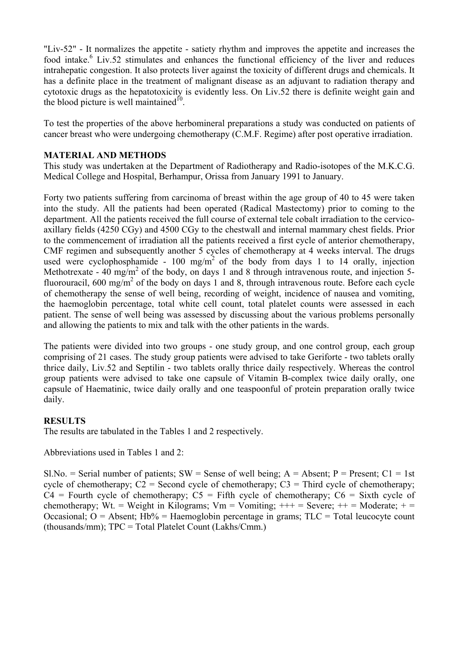"Liv-52" - It normalizes the appetite - satiety rhythm and improves the appetite and increases the food intake.<sup>6</sup> Liv.52 stimulates and enhances the functional efficiency of the liver and reduces intrahepatic congestion. It also protects liver against the toxicity of different drugs and chemicals. It has a definite place in the treatment of malignant disease as an adjuvant to radiation therapy and cytotoxic drugs as the hepatotoxicity is evidently less. On Liv.52 there is definite weight gain and the blood picture is well maintained $10$ .

To test the properties of the above herbomineral preparations a study was conducted on patients of cancer breast who were undergoing chemotherapy (C.M.F. Regime) after post operative irradiation.

## **MATERIAL AND METHODS**

This study was undertaken at the Department of Radiotherapy and Radio-isotopes of the M.K.C.G. Medical College and Hospital, Berhampur, Orissa from January 1991 to January.

Forty two patients suffering from carcinoma of breast within the age group of 40 to 45 were taken into the study. All the patients had been operated (Radical Mastectomy) prior to coming to the department. All the patients received the full course of external tele cobalt irradiation to the cervicoaxillary fields (4250 CGy) and 4500 CGy to the chestwall and internal mammary chest fields. Prior to the commencement of irradiation all the patients received a first cycle of anterior chemotherapy, CMF regimen and subsequently another 5 cycles of chemotherapy at 4 weeks interval. The drugs used were cyclophosphamide - 100 mg/m<sup>2</sup> of the body from days 1 to 14 orally, injection Methotrexate - 40 mg/m<sup>2</sup> of the body, on days 1 and 8 through intravenous route, and injection 5fluorouracil,  $600 \text{ mg/m}^2$  of the body on days 1 and 8, through intravenous route. Before each cycle of chemotherapy the sense of well being, recording of weight, incidence of nausea and vomiting, the haemoglobin percentage, total white cell count, total platelet counts were assessed in each patient. The sense of well being was assessed by discussing about the various problems personally and allowing the patients to mix and talk with the other patients in the wards.

The patients were divided into two groups - one study group, and one control group, each group comprising of 21 cases. The study group patients were advised to take Geriforte - two tablets orally thrice daily, Liv.52 and Septilin - two tablets orally thrice daily respectively. Whereas the control group patients were advised to take one capsule of Vitamin B-complex twice daily orally, one capsule of Haematinic, twice daily orally and one teaspoonful of protein preparation orally twice daily.

#### **RESULTS**

The results are tabulated in the Tables 1 and 2 respectively.

Abbreviations used in Tables 1 and 2:

Sl.No. = Serial number of patients; SW = Sense of well being;  $A =$  Absent;  $P =$  Present;  $C1 = 1$ st cycle of chemotherapy;  $C2 =$  Second cycle of chemotherapy;  $C3 =$ Third cycle of chemotherapy;  $C4$  = Fourth cycle of chemotherapy;  $C5$  = Fifth cycle of chemotherapy;  $C6$  = Sixth cycle of chemotherapy; Wt. = Weight in Kilograms; Vm = Vomiting;  $++=$  Severe;  $++=$  Moderate;  $+=$ Occasional;  $O =$  Absent; Hb% = Haemoglobin percentage in grams;  $T<sub>LC</sub>$  = Total leucocyte count (thousands/mm); TPC = Total Platelet Count (Lakhs/Cmm.)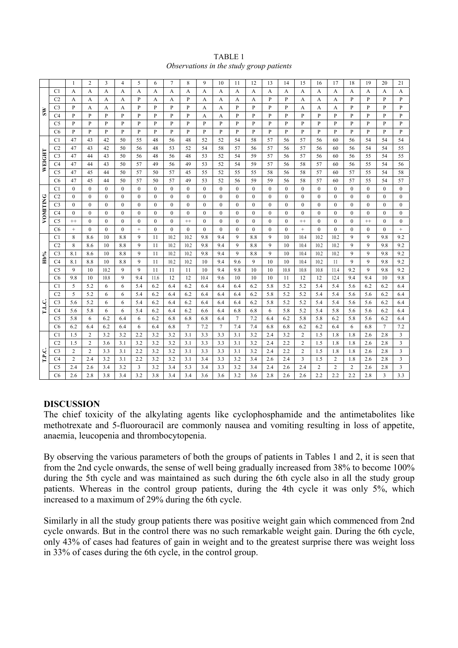| TABLE 1                                  |
|------------------------------------------|
| Observations in the study group patients |

|          |                                  | $\mathbf{1}$ | $\overline{c}$ | 3            | $\overline{4}$ | 5                | 6            | $\overline{7}$ | 8              | 9            | 10               | 11               | 12           | 13           | 14           | 15             | 16               | 17           | 18           | 19             | 20               | 21               |
|----------|----------------------------------|--------------|----------------|--------------|----------------|------------------|--------------|----------------|----------------|--------------|------------------|------------------|--------------|--------------|--------------|----------------|------------------|--------------|--------------|----------------|------------------|------------------|
| ξW       | C1                               | A            | A              | A            | A              | A                | A            | A              | A              | A            | A                | A                | A            | A            | A            | A              | A                | A            | A            | A              | A                | A                |
|          | C <sub>2</sub>                   | А            | A              | A            | A              | P                | А            | A              | P              | A            | A                | А                | A            | P            | P            | A              | А                | А            | P            | P              | P                | P                |
|          | C <sub>3</sub>                   | P            | А              | A            | A              | P                | P            | P              | P              | А            | A                | P                | P            | P            | P            | A              | A                | А            | P            | P              | P                | P                |
|          | C <sub>4</sub>                   | P            | P              | P            | P              | P                | P            | P              | P              | А            | A                | P                | P            | P            | P            | P              | P                | P            | P            | P              | P                | P                |
|          | C <sub>5</sub>                   | P            | $\mathbf{P}$   | P            | P              | P                | P            | P              | P              | P            | P                | P                | P            | P            | P            | P              | P                | P            | P            | P              | P                | P                |
|          | C <sub>6</sub>                   | P            | P              | P            | P              | P                | P            | P              | P              | P            | P                | P                | P            | P            | P            | P              | P                | P            | $\mathbf{P}$ | P              | P                | $\mathbf{P}$     |
|          | C <sub>1</sub>                   | 47           | 43             | 42           | 50             | 55               | 48           | 56             | 48             | 52           | 52               | 54               | 58           | 57           | 56           | 57             | 56               | 60           | 56           | 54             | 54               | 54               |
|          | C <sub>2</sub>                   | 47           | 43             | 42           | 50             | 56               | 48           | 53             | 52             | 54           | 58               | 57               | 56           | 57           | 56           | 57             | 56               | 60           | 56           | 54             | 54               | 55               |
| WEIGHT   | C <sub>3</sub>                   | 47           | 44             | 43           | 50             | 56               | 48           | 56             | 48             | 53           | 52               | 54               | 59           | 57           | 56           | 57             | 56               | 60           | 56           | 55             | 54               | 55               |
|          | C4                               | 47           | 44             | 43           | 50             | 57               | 49           | 56             | 49             | 53           | 52               | 54               | 59           | 57           | 56           | 58             | 57               | 60           | 56           | 55             | 54               | 56               |
|          | C <sub>5</sub>                   | 47           | 45             | 44           | 50             | 57               | 50           | 57             | 45             | 55           | 52               | 55               | 55           | 58           | 56           | 58             | 57               | 60           | 57           | 55             | 54               | 58               |
|          | C <sub>6</sub>                   | 47           | 45             | 44           | 50             | 57               | 50           | 57             | 49             | 53           | 52               | 56               | 59           | 59           | 56           | 58             | 57               | 60           | 57           | 55             | 54               | 57               |
|          | C <sub>1</sub>                   | $\mathbf{0}$ | $\mathbf{0}$   | $\mathbf{0}$ | $\mathbf{0}$   | $\boldsymbol{0}$ | $\mathbf{0}$ | $\mathbf{0}$   | $\overline{0}$ | $\mathbf{0}$ | $\mathbf{0}$     | $\boldsymbol{0}$ | $\mathbf{0}$ | $\mathbf{0}$ | $\mathbf{0}$ | $\overline{0}$ | $\mathbf{0}$     | $\mathbf{0}$ | $\mathbf{0}$ | $\overline{0}$ | $\mathbf{0}$     | $\boldsymbol{0}$ |
|          | C <sub>2</sub>                   | $\mathbf{0}$ | $\mathbf{0}$   | $\Omega$     | $\mathbf{0}$   | $\boldsymbol{0}$ | $\mathbf{0}$ | $\mathbf{0}$   | $\overline{0}$ | $\mathbf{0}$ | $\mathbf{0}$     | $\boldsymbol{0}$ | $\mathbf{0}$ | $\mathbf{0}$ | $\mathbf{0}$ | $\overline{0}$ | $\mathbf{0}$     | $\mathbf{0}$ | $\mathbf{0}$ | $\overline{0}$ | $\boldsymbol{0}$ | $\mathbf{0}$     |
| VOMITING | C <sub>3</sub>                   | $\mathbf{0}$ | $\mathbf{0}$   | $\theta$     | $\overline{0}$ | $\boldsymbol{0}$ | $\mathbf{0}$ | $\mathbf{0}$   | $\overline{0}$ | $\mathbf{0}$ | $\mathbf{0}$     | $\mathbf{0}$     | $\mathbf{0}$ | $\mathbf{0}$ | $\mathbf{0}$ | $\overline{0}$ | $\mathbf{0}$     | $\mathbf{0}$ | $\mathbf{0}$ | $\mathbf{0}$   | $\mathbf{0}$     | $\mathbf{0}$     |
|          | C4                               | $\mathbf{0}$ | $\mathbf{0}$   | $\mathbf{0}$ | $\mathbf{0}$   | $\boldsymbol{0}$ | $\mathbf{0}$ | $\mathbf{0}$   | $\mathbf{0}$   | $\mathbf{0}$ | $\boldsymbol{0}$ | $\mathbf{0}$     | $\mathbf{0}$ | $\mathbf{0}$ | $\mathbf{0}$ | $\overline{0}$ | $\boldsymbol{0}$ | $\mathbf{0}$ | $\mathbf{0}$ | $\mathbf{0}$   | $\mathbf{0}$     | $\mathbf{0}$     |
|          | C <sub>5</sub>                   | $^{++}$      | $\mathbf{0}$   | $\theta$     | $\mathbf{0}$   | $\mathbf{0}$     | $\mathbf{0}$ | $\mathbf{0}$   | $^{++}$        | $\mathbf{0}$ | $\mathbf{0}$     | $\mathbf{0}$     | $\mathbf{0}$ | $\mathbf{0}$ | $\mathbf{0}$ | $^{++}$        | $\boldsymbol{0}$ | $\mathbf{0}$ | $\mathbf{0}$ | $^{++}$        | $\mathbf{0}$     | $\mathbf{0}$     |
|          | C <sub>6</sub>                   | $^{+}$       | $\mathbf{0}$   | $\theta$     | $\mathbf{0}$   | $+$              | $\mathbf{0}$ | $\theta$       | $\mathbf{0}$   | $\mathbf{0}$ | $\mathbf{0}$     | $\mathbf{0}$     | $\mathbf{0}$ | $\mathbf{0}$ | $\mathbf{0}$ | $+$            | $\mathbf{0}$     | $\mathbf{0}$ | $\mathbf{0}$ | $\mathbf{0}$   | $\mathbf{0}$     | $^{+}$           |
|          | C <sub>1</sub>                   | 8            | 8.6            | 10           | 8.8            | 9                | 11           | 10.2           | 10.2           | 9.8          | 9.4              | 9                | 8.8          | 9            | 10           | 10.4           | 10.2             | 10.2         | 9            | 9              | 9.8              | 9.2              |
|          | C <sub>2</sub>                   | 8            | 8.6            | 10           | 8.8            | 9                | 11           | 10.2           | 10.2           | 9.8          | 9.4              | 9                | 8.8          | 9            | 10           | 10.4           | 10.2             | 10.2         | 9            | 9              | 9.8              | 9.2              |
| Hb%      | C <sub>3</sub>                   | 8.1          | 8.6            | 10           | 8.8            | 9                | 11           | 10.2           | 10.2           | 9.8          | 9.4              | 9                | 8.8          | 9            | 10           | 10.4           | 10.2             | 10.2         | 9            | 9              | 9.8              | 9.2              |
|          | C4                               | 8.1          | 8.8            | 10           | 8.8            | 9                | 11           | 10.2           | 10.2           | 10           | 9.4              | 9.6              | 9            | 10           | 10           | 10.4           | 10.2             | 11           | 9            | 9              | 9.8              | 9.2              |
|          | C <sub>5</sub>                   | 9            | 10             | 10.2         | 9              | 9                | 11           | 11             | 11             | 10           | 9.4              | 9.8              | 10           | 10           | 10.8         | 10.8           | 10.8             | 11.4         | 9.2          | 9              | 9.8              | 9.2              |
|          | C <sub>6</sub>                   | 9.8          | 10             | 10.8         | 9              | 9.4              | 11.6         | 12             | 12             | 10.4         | 9.6              | 10               | 10           | 10           | 11           | 12             | 12               | 12.4         | 9.4          | 9.4            | 10               | 9.8              |
|          | C <sub>1</sub><br>C <sub>2</sub> | 5<br>5       | 5.2<br>5.2     | 6<br>6       | 6<br>6         | 5.4<br>5.4       | 6.2<br>6.2   | 6.4            | 6.2<br>6.2     | 6.4          | 6.4              | 6.4              | 6.2<br>6.2   | 5.8<br>5.8   | 5.2<br>5.2   | 5.2<br>5.2     | 5.4<br>5.4       | 5.4          | 5.6          | 6.2<br>5.6     | 6.2<br>6.2       | 6.4<br>6.4       |
|          |                                  | 5.6          | 5.2            | 6            | 6              | 5.4              | 6.2          | 6.4<br>6.4     | 6.2            | 6.4<br>6.4   | 6.4<br>6.4       | 6.4<br>6.4       | 6.2          | 5.8          | 5.2          | 5.2            | 5.4              | 5.4<br>5.4   | 5.6<br>5.6   | 5.6            | 6.2              | 6.4              |
| T.L.C    | C <sub>3</sub><br>C4             | 5.6          | 5.8            | 6            | 6              | 5.4              | 6.2          | 6.4            | 6.2            | 6.6          | 6.4              | 6.8              | 6.8          | 6            | 5.8          | 5.2            | 5.4              | 5.8          | 5.6          | 5.6            | 6.2              | 6.4              |
|          | C <sub>5</sub>                   | 5.8          | 6              | 6.2          | 6.4            | 6                | 6.2          | 6.8            | 6.8            | 6.8          | 6.4              | 7                | 7.2          | 6.4          | 6.2          | 5.8            | 5.8              | 6.2          | 5.8          | 5.6            | 6.2              | 6.4              |
|          | C <sub>6</sub>                   | 6.2          | 6.4            | 6.2          | 6.4            | 6                | 6.4          | 6.8            | 7              | 7.2          | $\tau$           | 7.4              | 7.4          | 6.8          | 6.8          | 6.2            | 6.2              | 6.4          | 6            | 6.8            | $7\phantom{.0}$  | 7.2              |
|          | C <sub>1</sub>                   | 1.5          | 2              | 3.2          | 3.2            | 2.2              | 3.2          | 3.2            | 3.1            | 3.3          | 3.3              | 3.1              | 3.2          | 2.4          | 3.2          | 2              | 1.5              | 1.8          | 1.8          | 2.6            | 2.8              | 3                |
|          | C <sub>2</sub>                   | 1.5          | $\overline{2}$ | 3.6          | 3.1            | 3.2              | 3.2          | 3.2            | 3.1            | 3.3          | 3.3              | 3.1              | 3.2          | 2.4          | 2.2          | 2              | 1.5              | 1.8          | 1.8          | 2.6            | 2.8              | 3                |
|          | C3                               | 2            | $\overline{c}$ | 3.3          | 3.1            | 2.2              | 3.2          | 3.2            | 3.1            | 3.3          | 3.3              | 3.1              | 3.2          | 2.4          | 2.2          | 2              | 1.5              | 1.8          | 1.8          | 2.6            | 2.8              | 3                |
| T.P.C.   | C4                               | 2            | 2.4            | 3.2          | 3.1            | 2.2              | 3.2          | 3.2            | 3.1            | 3.4          | 3.3              | 3.2              | 3.4          | 2.6          | 2.4          | 3              | 1.5              | 2            | 1.8          | 2.6            | 2.8              | 3                |
|          | C <sub>5</sub>                   | 2.4          | 2.6            | 3.4          | 3.2            | 3                | 3.2          | 3.4            | 5.3            | 3.4          | 3.3              | 3.2              | 3.4          | 2.4          | 2.6          | 2.4            | 2                | 2            | 2            | 2.6            | 2.8              | 3                |
|          | C6                               | 2.6          | 2.8            | 3.8          | 3.4            | 3.2              | 3.8          | 3.4            | 3.4            | 3.6          | 3.6              | 3.2              | 3.6          | 2.8          | 2.6          | 2.6            | 2.2              | 2.2          | 2.2          | 2.8            | 3                | 3.3              |

#### **DISCUSSION**

The chief toxicity of the alkylating agents like cyclophosphamide and the antimetabolites like methotrexate and 5-fluorouracil are commonly nausea and vomiting resulting in loss of appetite, anaemia, leucopenia and thrombocytopenia.

By observing the various parameters of both the groups of patients in Tables 1 and 2, it is seen that from the 2nd cycle onwards, the sense of well being gradually increased from 38% to become 100% during the 5th cycle and was maintained as such during the 6th cycle also in all the study group patients. Whereas in the control group patients, during the 4th cycle it was only 5%, which increased to a maximum of 29% during the 6th cycle.

Similarly in all the study group patients there was positive weight gain which commenced from 2nd cycle onwards. But in the control there was no such remarkable weight gain. During the 6th cycle, only 43% of cases had features of gain in weight and to the greatest surprise there was weight loss in 33% of cases during the 6th cycle, in the control group.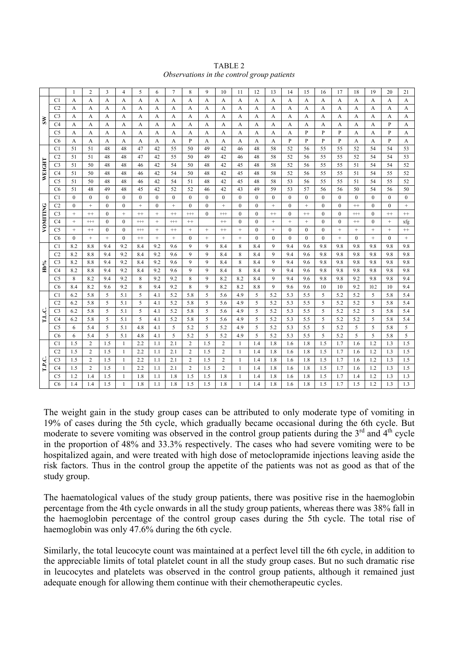| TABLE 2                                    |
|--------------------------------------------|
| Observations in the control group patients |

|                 |                      | $\mathbf{1}$      | $\overline{2}$                   | 3            | $\overline{4}$               | 5            | 6               | $\overline{7}$ | 8                   | 9                 | 10                           | 11                           | 12           | 13           | 14               | 15           | 16           | 17                | 18           | 19           | 20                | 21                |
|-----------------|----------------------|-------------------|----------------------------------|--------------|------------------------------|--------------|-----------------|----------------|---------------------|-------------------|------------------------------|------------------------------|--------------|--------------|------------------|--------------|--------------|-------------------|--------------|--------------|-------------------|-------------------|
| $\tilde{s}$     | C <sub>1</sub>       | A                 | A                                | A            | A                            | А            | A               | A              | A                   | A                 | A                            | A                            | A            | A            | A                | A            | A            | A                 | A            | A            | A                 | A                 |
|                 | C <sub>2</sub>       | А                 | A                                | A            | A                            | A            | A               | A              | A                   | A                 | A                            | A                            | A            | A            | A                | A            | A            | А                 | A            | А            | A                 | A                 |
|                 | C <sub>3</sub>       | А                 | A                                | A            | A                            | A            | A               | A              | A                   | A                 | A                            | A                            | A            | A            | A                | A            | A            | А                 | A            | A            | A                 | A                 |
|                 | C <sub>4</sub>       | А                 | A                                | A            | A                            | A            | A               | A              | A                   | A                 | A                            | A                            | A            | A            | A                | A            | A            | A                 | A            | A            | P                 | A                 |
|                 | C <sub>5</sub>       | A                 | A                                | A            | A                            | A            | A               | A              | A                   | A                 | A                            | A                            | A            | A            | A                | P            | P            | P                 | A            | A            | P                 | A                 |
|                 | C <sub>6</sub>       | A                 | A                                | A            | A                            | A            | A               | A              | P                   | A                 | A                            | A                            | A            | A            | P                | P            | P            | P                 | A            | A            | P                 | A                 |
|                 | C1                   | 51                | 51                               | 48           | 48                           | 47           | 42              | 55             | 50                  | 49                | 42                           | 46                           | 48           | 58           | 52               | 56           | 55           | 55                | 52           | 54           | 54                | 53                |
|                 | C2                   | 51                | 51                               | 48           | 48                           | 47           | 42              | 55             | 50                  | 49                | 42                           | 46                           | 48           | 58           | 52               | 56           | 55           | 55                | 52           | 54           | 54                | 53                |
| WEIGHT          | C <sub>3</sub>       | 51                | 50                               | 48           | 48                           | 46           | 42              | 54             | 50                  | 48                | 42                           | 45                           | 48           | 58           | 52               | 56           | 55           | 55                | 51           | 54           | 54                | 52                |
|                 | C4                   | 51                | 50                               | 48           | 48                           | 46           | 42              | 54             | 50                  | 48                | 42                           | 45                           | 48           | 58           | 52               | 56           | 55           | 55                | 51           | 54           | 55                | 52                |
|                 | C <sub>5</sub>       | 51                | 50                               | 48           | 48                           | 46           | 42              | 54             | 51                  | 48                | 42                           | 45                           | 48           | 58           | 53               | 56           | 55           | 55                | 51           | 54           | 55                | 52                |
|                 | C <sub>6</sub>       | 51                | 48                               | 49           | 48                           | 45           | 42              | 52             | 52                  | 46                | 42                           | 43                           | 49           | 59           | 53               | 57           | 56           | 56                | 50           | 54           | 56                | 50                |
|                 | C1                   | $\mathbf{0}$      | $\mathbf{0}$                     | $\Omega$     | $\mathbf{0}$                 | $\mathbf{0}$ | $\mathbf{0}$    | $\mathbf{0}$   | $\mathbf{0}$        | $\mathbf{0}$      | $\mathbf{0}$                 | $\overline{0}$               | $\mathbf{0}$ | $\mathbf{0}$ | $\boldsymbol{0}$ | $\mathbf{0}$ | $\mathbf{0}$ | $\overline{0}$    | $\mathbf{0}$ | $\mathbf{0}$ | $\overline{0}$    | $\mathbf{0}$      |
|                 | C <sub>2</sub>       | $\mathbf{0}$      | $+$                              | $\theta$     | $\mathbf{0}$                 | $^{+}$       | $\theta$        | $^{+}$         | $\mathbf{0}$        | $\theta$          | $^{+}$                       | $\mathbf{0}$                 | $\theta$     | $+$          | $\mathbf{0}$     | $^{+}$       | $\theta$     | $\mathbf{0}$      | $^{++}$      | $\mathbf{0}$ | $\Omega$          | $\qquad \qquad +$ |
|                 | C <sub>3</sub>       | $\qquad \qquad +$ | $^{++}$                          | $\theta$     | $+$                          | $^{++}$      | $+$             | $^{++}$        | $^{++}$             | $\Omega$          | $^{+++}$                     | $\Omega$                     | $\Omega$     | $^{++}$      | $\mathbf{0}$     | $^{++}$      | $\theta$     | $\mathbf{0}$      | $^{+++}$     | $\Omega$     | $^{++}$           | $^{\rm ++}$       |
| <b>VOMITING</b> | C4                   | $^{+}$            | $^{+++}$                         | $\theta$     | $\mathbf{0}$                 | $^{++}$      | $+$             | $^{++}$        | $^{++}$             |                   | $^{++}$                      | $\Omega$                     | $\theta$     | $+$          | $^{+}$           | $^{+}$       | $\theta$     | $\mathbf{0}$      | $^{++}$      | $\Omega$     | $^{+}$            | xfg               |
|                 | C <sub>5</sub>       | $\qquad \qquad +$ | $++$                             | $\mathbf{0}$ | $\bf{0}$                     | $^{+++}$     | $^+$            | $^{\rm ++}$    | $\qquad \qquad +$   | $\qquad \qquad +$ | $^{++}$                      | $\qquad \qquad +$            | $\mathbf{0}$ | $^+$         | $\boldsymbol{0}$ | $\mathbf{0}$ | $\mathbf{0}$ | $\qquad \qquad +$ | $^+$         | $^+$         | $\qquad \qquad +$ | $\scriptstyle ++$ |
|                 | C <sub>6</sub>       | $\mathbf{0}$      | $\qquad \qquad +$                | $^{+}$       | $\mathbf{0}$                 | $^{++}$      | $\! + \!\!\!\!$ | $^{+}$         | $\mathbf{0}$        | $\! + \!\!\!\!$   | $\! + \!\!\!\!$              | $\qquad \qquad +$            | $\mathbf{0}$ | $\mathbf{0}$ | $\mathbf{0}$     | $\mathbf{0}$ | $\mathbf{0}$ | $\qquad \qquad +$ | $\mathbf{0}$ | $^+$         | $\mathbf{0}$      | $\qquad \qquad +$ |
|                 | C <sub>1</sub>       | 8.2               | 8.8                              | 9.4          | 9.2                          | 8.4          | 9.2             | 9.6            | 9                   | 9                 | 8.4                          | 8                            | 8.4          | 9            | 9.4              | 9.6          | 9.8          | 9.8               | 9.8          | 9.8          | 9.8               | 9.8               |
|                 | C <sub>2</sub>       | 8.2               | 8.8                              | 9.4          | 9.2                          | 8.4          | 9.2             | 9.6            | 9                   | 9                 | 8.4                          | 8                            | 8.4          | 9            | 9.4              | 9.6          | 9.8          | 9.8               | 9.8          | 9.8          | 9.8               | 9.8               |
| Hb%             | C <sub>3</sub>       | 8.2               | 8.8                              | 9.4          | 9.2                          | 8.4          | 9.2             | 9.6            | 9                   | 9                 | 8.4                          | 8                            | 8.4          | 9            | 9.4              | 9.6          | 9.8          | 9.8               | 9.8          | 9.8          | 9.8               | 9.8               |
|                 | C4                   | 8.2               | 8.8                              | 9.4          | 9.2                          | 8.4          | 9.2             | 9.6            | 9                   | 9                 | 8.4                          | 8                            | 8.4          | 9            | 9.4              | 9.6          | 9.8          | 9.8               | 9.8          | 9.8          | 9.8               | 9.8               |
|                 | C <sub>5</sub>       | 8                 | 8.2                              | 9.4          | 9.2                          | 8            | 9.2             | 9.2            | 8                   | 9                 | 8.2                          | 8.2                          | 8.4          | 9            | 9.4              | 9.6          | 9.8          | 9.8               | 9.2          | 9.8          | 9.8               | 9.4               |
|                 | C <sub>6</sub>       | 8.4               | 8.2                              | 9.6          | 9.2                          | 8            | 9.4             | 9.2            | 8                   | 9                 | 8.2                          | 8.2                          | 8.8          | 9            | 9.6              | 9.6          | 10           | 10                | 9.2          | 10.2         | 10                | 9.4               |
|                 | C <sub>1</sub>       | 6.2               | 5.8                              | 5            | 5.1                          | 5            | 4.1             | 5.2            | 5.8                 | 5                 | 5.6                          | 4.9                          | 5            | 5.2          | 5.3              | 5.5          | 5            | 5.2               | 5.2          | 5            | 5.8               | 5.4               |
|                 | C <sub>2</sub>       | 6.2               | 5.8                              | 5            | 5.1                          | 5            | 4.1             | 5.2            | 5.8                 | 5                 | 5.6                          | 4.9                          | 5            | 5.2          | 5.3              | 5.5          | 5            | 5.2               | 5.2          | 5            | 5.8               | 5.4               |
| L.C.            | C <sub>3</sub>       | 6.2               | 5.8                              | 5            | 5.1                          | 5            | 4.1             | 5.2            | 5.8                 | 5                 | 5.6                          | 4.9                          | 5            | 5.2          | 5.3              | 5.5          | 5            | 5.2               | 5.2          | 5            | 5.8               | 5.4               |
|                 | C4                   | 6.2               | 5.8                              | 5            | 5.1                          | 5            | 4.1             | 5.2            | 5.8                 | 5                 | 5.6                          | 4.9                          | 5            | 5.2          | 5.3              | 5.5          | 5            | 5.2               | 5.2          | 5            | 5.8               | 5.4               |
|                 | C <sub>5</sub>       | 6                 | 5.4                              | 5            | 5.1                          | 4.8          | 4.1             | 5              | 5.2                 | 5                 | 5.2                          | 4.9                          | 5            | 5.2          | 5.3              | 5.5          | 5            | 5.2               | 5            | 5            | 5.8               | 5                 |
|                 | C <sub>6</sub>       | 6                 | 5.4                              | 5            | 5.1                          | 4.8          | 4.1             | 5              | 5.2                 | 5                 | 5.2                          | 4.9                          | 5            | 5.2          | 5.3              | 5.5          | 5            | 5.2               | 5            | 5            | 5.8               | 5                 |
|                 | C1                   | 1.5               | $\overline{2}$                   | 1.5          | $\mathbf{1}$                 | 2.2          | 1.1             | 2.1            | 2                   | 1.5               | $\overline{c}$               | $\mathbf{1}$                 | 1.4          | 1.8          | 1.6              | 1.8          | 1.5          | 1.7               | 1.6          | 1.2          | 1.3               | 1.5               |
| T.P.C.          | C <sub>2</sub>       | 1.5               | $\overline{2}$                   | 1.5          | 1                            | 2.2          | 1.1             | 2.1            | 2                   | 1.5               | $\sqrt{2}$                   | $\mathbf{1}$                 | 1.4          | 1.8          | 1.6              | 1.8          | 1.5          | 1.7               | 1.6          | 1.2          | 1.3               | 1.5               |
|                 | C <sub>3</sub>       | 1.5<br>1.5        | $\overline{2}$<br>$\overline{2}$ | 1.5<br>1.5   | $\mathbf{1}$<br>$\mathbf{1}$ | 2.2<br>2.2   | 1.1<br>1.1      | 2.1<br>2.1     | 2<br>$\overline{c}$ | 1.5<br>1.5        | $\sqrt{2}$<br>$\overline{c}$ | $\mathbf{1}$<br>$\mathbf{1}$ | 1.4<br>1.4   | 1.8<br>1.8   | 1.6              | 1.8<br>1.8   | 1.5          | 1.7               | 1.6          | 1.2<br>1.2   | 1.3               | 1.5               |
|                 | C4<br>C <sub>5</sub> | 1.2               | 1.4                              | 1.5          | $\mathbf{1}$                 | 1.8          | 1.1             | 1.8            | 1.5                 | 1.5               | 1.8                          | $\mathbf{1}$                 | 1.4          | 1.8          | 1.6<br>1.6       | 1.8          | 1.5<br>1.5   | 1.7<br>1.7        | 1.6<br>1.4   | 1.2          | 1.3<br>1.3        | 1.5<br>1.3        |
|                 | C6                   | 1.4               | 1.4                              | 1.5          | 1                            | 1.8          | 1.1             | 1.8            | 1.5                 | 1.5               | 1.8                          | 1                            | 1.4          | 1.8          | 1.6              | 1.8          | 1.5          | 1.7               | 1.5          | 1.2          | 1.3               | 1.3               |
|                 |                      |                   |                                  |              |                              |              |                 |                |                     |                   |                              |                              |              |              |                  |              |              |                   |              |              |                   |                   |

The weight gain in the study group cases can be attributed to only moderate type of vomiting in 19% of cases during the 5th cycle, which gradually became occasional during the 6th cycle. But moderate to severe vomiting was observed in the control group patients during the  $3<sup>rd</sup>$  and  $4<sup>th</sup>$  cycle in the proportion of 48% and 33.3% respectively. The cases who had severe vomiting were to be hospitalized again, and were treated with high dose of metoclopramide injections leaving aside the risk factors. Thus in the control group the appetite of the patients was not as good as that of the study group.

The haematological values of the study group patients, there was positive rise in the haemoglobin percentage from the 4th cycle onwards in all the study group patients, whereas there was 38% fall in the haemoglobin percentage of the control group cases during the 5th cycle. The total rise of haemoglobin was only 47.6% during the 6th cycle.

Similarly, the total leucocyte count was maintained at a perfect level till the 6th cycle, in addition to the appreciable limits of total platelet count in all the study group cases. But no such dramatic rise in leucocytes and platelets was observed in the control group patients, although it remained just adequate enough for allowing them continue with their chemotherapeutic cycles.